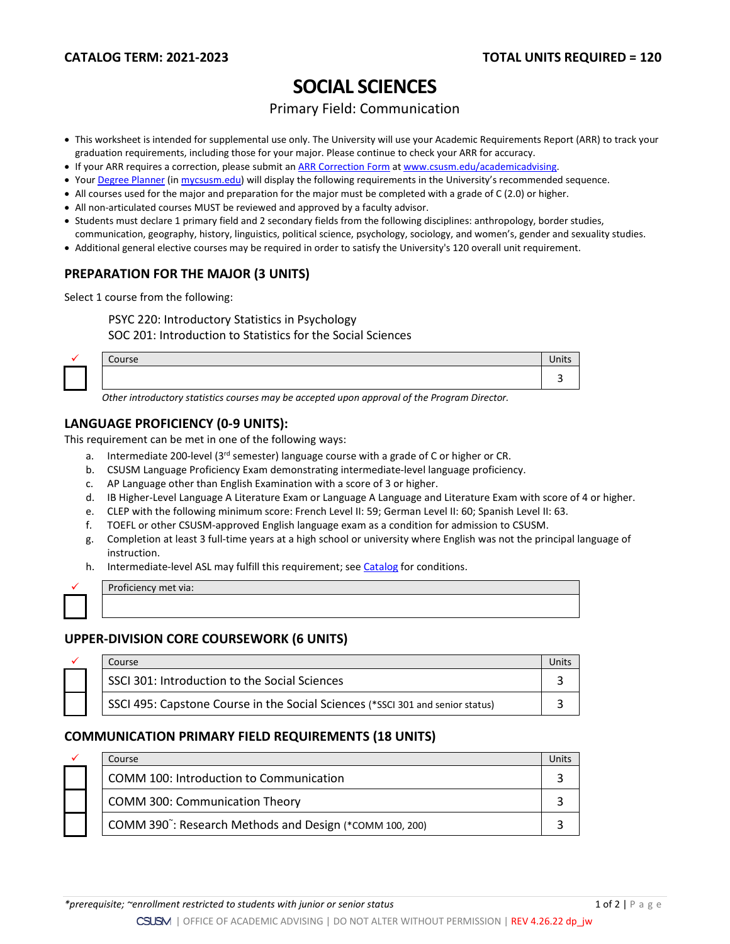# **SOCIAL SCIENCES**

## Primary Field: Communication

- This worksheet is intended for supplemental use only. The University will use your Academic Requirements Report (ARR) to track your graduation requirements, including those for your major. Please continue to check your ARR for accuracy.
- If your ARR requires a correction, please submit an [ARR Correction Form](http://www.csusm.edu/academicadvising/arrcorrection/index.html) a[t www.csusm.edu/academicadvising.](http://www.csusm.edu/academicadvising)
- You[r Degree Planner](https://www.csusm.edu/academicadvising/degreeplanner/index.html) (i[n mycsusm.edu\)](https://my.csusm.edu/) will display the following requirements in the University's recommended sequence.
- All courses used for the major and preparation for the major must be completed with a grade of C (2.0) or higher.
- All non-articulated courses MUST be reviewed and approved by a faculty advisor.
- Students must declare 1 primary field and 2 secondary fields from the following disciplines: anthropology, border studies, communication, geography, history, linguistics, political science, psychology, sociology, and women's, gender and sexuality studies.
- Additional general elective courses may be required in order to satisfy the University's 120 overall unit requirement.

## **PREPARATION FOR THE MAJOR (3 UNITS)**

Select 1 course from the following:

PSYC 220: Introductory Statistics in Psychology

SOC 201: Introduction to Statistics for the Social Sciences

|  | Course | $\cdots$<br>nits |
|--|--------|------------------|
|  |        |                  |

*Other introductory statistics courses may be accepted upon approval of the Program Director.*

#### **LANGUAGE PROFICIENCY (0-9 UNITS):**

This requirement can be met in one of the following ways:

- a. Intermediate 200-level (3rd semester) language course with a grade of C or higher or CR.
- b. CSUSM Language Proficiency Exam demonstrating intermediate-level language proficiency.
- c. AP Language other than English Examination with a score of 3 or higher.
- d. IB Higher-Level Language A Literature Exam or Language A Language and Literature Exam with score of 4 or higher.
- e. CLEP with the following minimum score: French Level II: 59; German Level II: 60; Spanish Level II: 63.
- f. TOEFL or other CSUSM-approved English language exam as a condition for admission to CSUSM.
- g. Completion at least 3 full-time years at a high school or university where English was not the principal language of instruction.
- h. Intermediate-level ASL may fulfill this requirement; see [Catalog](http://catalog.csusm.edu/) for conditions.

Proficiency met via:

#### **UPPER-DIVISION CORE COURSEWORK (6 UNITS)**

| Course                                                                         |  |
|--------------------------------------------------------------------------------|--|
| SSCI 301: Introduction to the Social Sciences                                  |  |
| SSCI 495: Capstone Course in the Social Sciences (*SSCI 301 and senior status) |  |

#### **COMMUNICATION PRIMARY FIELD REQUIREMENTS (18 UNITS)**

| ✓ | Course                                                               |  |
|---|----------------------------------------------------------------------|--|
|   | COMM 100: Introduction to Communication                              |  |
|   | <b>COMM 300: Communication Theory</b>                                |  |
|   | COMM 390 <sup>"</sup> : Research Methods and Design (*COMM 100, 200) |  |

*\*prerequisite; ~enrollment restricted to students with junior or senior status* 1 of 2 | P age extra 1 of 2 | P age